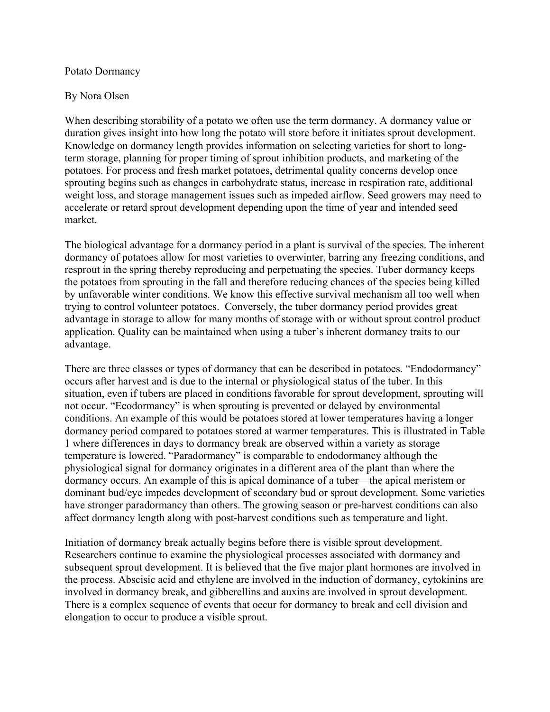## Potato Dormancy

## By Nora Olsen

When describing storability of a potato we often use the term dormancy. A dormancy value or duration gives insight into how long the potato will store before it initiates sprout development. Knowledge on dormancy length provides information on selecting varieties for short to longterm storage, planning for proper timing of sprout inhibition products, and marketing of the potatoes. For process and fresh market potatoes, detrimental quality concerns develop once sprouting begins such as changes in carbohydrate status, increase in respiration rate, additional weight loss, and storage management issues such as impeded airflow. Seed growers may need to accelerate or retard sprout development depending upon the time of year and intended seed market.

The biological advantage for a dormancy period in a plant is survival of the species. The inherent dormancy of potatoes allow for most varieties to overwinter, barring any freezing conditions, and resprout in the spring thereby reproducing and perpetuating the species. Tuber dormancy keeps the potatoes from sprouting in the fall and therefore reducing chances of the species being killed by unfavorable winter conditions. We know this effective survival mechanism all too well when trying to control volunteer potatoes. Conversely, the tuber dormancy period provides great advantage in storage to allow for many months of storage with or without sprout control product application. Quality can be maintained when using a tuber's inherent dormancy traits to our advantage.

There are three classes or types of dormancy that can be described in potatoes. "Endodormancy" occurs after harvest and is due to the internal or physiological status of the tuber. In this situation, even if tubers are placed in conditions favorable for sprout development, sprouting will not occur. "Ecodormancy" is when sprouting is prevented or delayed by environmental conditions. An example of this would be potatoes stored at lower temperatures having a longer dormancy period compared to potatoes stored at warmer temperatures. This is illustrated in Table 1 where differences in days to dormancy break are observed within a variety as storage temperature is lowered. "Paradormancy" is comparable to endodormancy although the physiological signal for dormancy originates in a different area of the plant than where the dormancy occurs. An example of this is apical dominance of a tuber—the apical meristem or dominant bud/eye impedes development of secondary bud or sprout development. Some varieties have stronger paradormancy than others. The growing season or pre-harvest conditions can also affect dormancy length along with post-harvest conditions such as temperature and light.

Initiation of dormancy break actually begins before there is visible sprout development. Researchers continue to examine the physiological processes associated with dormancy and subsequent sprout development. It is believed that the five major plant hormones are involved in the process. Abscisic acid and ethylene are involved in the induction of dormancy, cytokinins are involved in dormancy break, and gibberellins and auxins are involved in sprout development. There is a complex sequence of events that occur for dormancy to break and cell division and elongation to occur to produce a visible sprout.